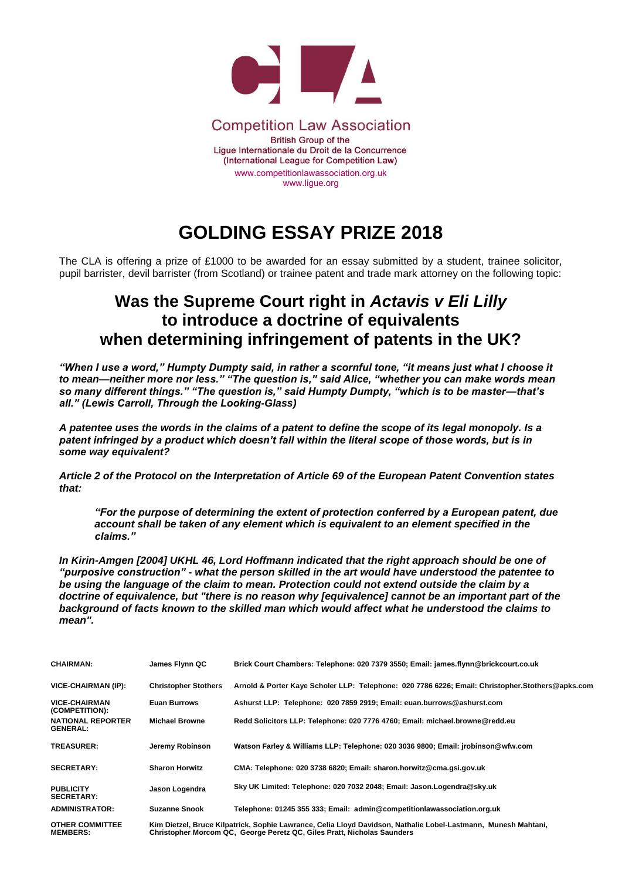

## **GOLDING ESSAY PRIZE 2018**

The CLA is offering a prize of £1000 to be awarded for an essay submitted by a student, trainee solicitor, pupil barrister, devil barrister (from Scotland) or trainee patent and trade mark attorney on the following topic:

## **Was the Supreme Court right in** *Actavis v Eli Lilly* **to introduce a doctrine of equivalents when determining infringement of patents in the UK?**

*"When I use a word," Humpty Dumpty said, in rather a scornful tone, "it means just what I choose it to mean—neither more nor less." "The question is," said Alice, "whether you can make words mean so many different things." "The question is," said Humpty Dumpty, "which is to be master—that's all." (Lewis Carroll, Through the Looking-Glass)*

*A patentee uses the words in the claims of a patent to define the scope of its legal monopoly. Is a patent infringed by a product which doesn't fall within the literal scope of those words, but is in some way equivalent?*

*Article 2 of the Protocol on the Interpretation of Article 69 of the European Patent Convention states that:*

*"For the purpose of determining the extent of protection conferred by a European patent, due account shall be taken of any element which is equivalent to an element specified in the claims."*

*In Kirin-Amgen [2004] UKHL 46, Lord Hoffmann indicated that the right approach should be one of "purposive construction" - what the person skilled in the art would have understood the patentee to be using the language of the claim to mean. Protection could not extend outside the claim by a doctrine of equivalence, but "there is no reason why [equivalence] cannot be an important part of the background of facts known to the skilled man which would affect what he understood the claims to mean".* 

| <b>CHAIRMAN:</b>                            | James Flynn QC              | Brick Court Chambers: Telephone: 020 7379 3550; Email: james.flynn@brickcourt.co.uk                                                                                                         |
|---------------------------------------------|-----------------------------|---------------------------------------------------------------------------------------------------------------------------------------------------------------------------------------------|
| <b>VICE-CHAIRMAN (IP):</b>                  | <b>Christopher Stothers</b> | Arnold & Porter Kaye Scholer LLP: Telephone: 020 7786 6226; Email: Christopher.Stothers@apks.com                                                                                            |
| <b>VICE-CHAIRMAN</b><br>(COMPETITION):      | <b>Euan Burrows</b>         | Ashurst LLP: Telephone: 020 7859 2919; Email: euan.burrows@ashurst.com                                                                                                                      |
| <b>NATIONAL REPORTER</b><br><b>GENERAL:</b> | <b>Michael Browne</b>       | Redd Solicitors LLP: Telephone: 020 7776 4760; Email: michael.browne@redd.eu                                                                                                                |
| <b>TREASURER:</b>                           | Jeremy Robinson             | Watson Farley & Williams LLP: Telephone: 020 3036 9800; Email: jrobinson@wfw.com                                                                                                            |
| <b>SECRETARY:</b>                           | <b>Sharon Horwitz</b>       | CMA: Telephone: 020 3738 6820; Email: sharon.horwitz@cma.gsi.gov.uk                                                                                                                         |
| <b>PUBLICITY</b><br><b>SECRETARY:</b>       | Jason Logendra              | Sky UK Limited: Telephone: 020 7032 2048; Email: Jason.Logendra@sky.uk                                                                                                                      |
| <b>ADMINISTRATOR:</b>                       | <b>Suzanne Snook</b>        | Telephone: 01245 355 333; Email: admin@competitionlawassociation.org.uk                                                                                                                     |
| <b>OTHER COMMITTEE</b><br><b>MEMBERS:</b>   |                             | Kim Dietzel, Bruce Kilpatrick, Sophie Lawrance, Celia Lloyd Davidson, Nathalie Lobel-Lastmann, Munesh Mahtani,<br>Christopher Morcom QC., George Peretz QC. Giles Pratt, Nicholas Saunders. |

**Christopher Morcom QC, George Peretz QC, Giles Pratt, Nicholas Saunders**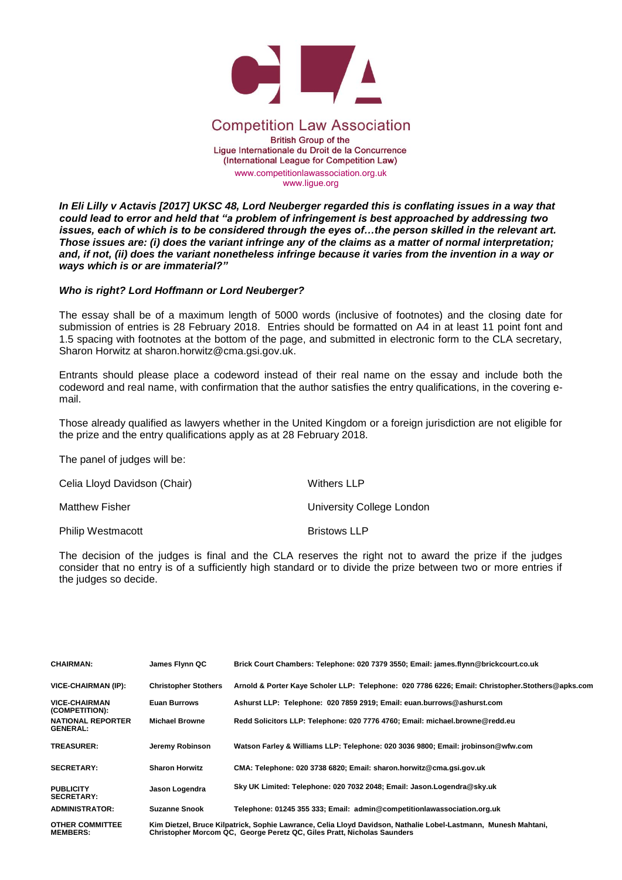

## **Competition Law Association**

**British Group of the** Ligue Internationale du Droit de la Concurrence (International League for Competition Law) [www.competitionlawassociation.org.uk](http://www.competitionlawassociation.org.uk/)

www.ligue.org

*In Eli Lilly v Actavis [2017] UKSC 48, Lord Neuberger regarded this is conflating issues in a way that could lead to error and held that "a problem of infringement is best approached by addressing two issues, each of which is to be considered through the eyes of...the person skilled in the relevant art. Those issues are: (i) does the variant infringe any of the claims as a matter of normal interpretation; and, if not, (ii) does the variant nonetheless infringe because it varies from the invention in a way or ways which is or are immaterial?"*

## *Who is right? Lord Hoffmann or Lord Neuberger?*

The essay shall be of a maximum length of 5000 words (inclusive of footnotes) and the closing date for submission of entries is 28 February 2018. Entries should be formatted on A4 in at least 11 point font and 1.5 spacing with footnotes at the bottom of the page, and submitted in electronic form to the CLA secretary, Sharon Horwitz at sharon.horwitz@cma.gsi.gov.uk.

Entrants should please place a codeword instead of their real name on the essay and include both the codeword and real name, with confirmation that the author satisfies the entry qualifications, in the covering email.

Those already qualified as lawyers whether in the United Kingdom or a foreign jurisdiction are not eligible for the prize and the entry qualifications apply as at 28 February 2018.

The panel of judges will be:

| Celia Lloyd Davidson (Chair) | Withers LLP               |
|------------------------------|---------------------------|
| <b>Matthew Fisher</b>        | University College London |
| <b>Philip Westmacott</b>     | <b>Bristows LLP</b>       |

The decision of the judges is final and the CLA reserves the right not to award the prize if the judges consider that no entry is of a sufficiently high standard or to divide the prize between two or more entries if the judges so decide.

| <b>CHAIRMAN:</b>                            | James Flynn QC              | Brick Court Chambers: Telephone: 020 7379 3550; Email: james.flynn@brickcourt.co.uk                                                                                                       |
|---------------------------------------------|-----------------------------|-------------------------------------------------------------------------------------------------------------------------------------------------------------------------------------------|
| <b>VICE-CHAIRMAN (IP):</b>                  | <b>Christopher Stothers</b> | Arnold & Porter Kaye Scholer LLP: Telephone: 020 7786 6226; Email: Christopher.Stothers@apks.com                                                                                          |
| <b>VICE-CHAIRMAN</b><br>(COMPETITION):      | <b>Euan Burrows</b>         | Ashurst LLP: Telephone: 020 7859 2919; Email: euan.burrows@ashurst.com                                                                                                                    |
| <b>NATIONAL REPORTER</b><br><b>GENERAL:</b> | <b>Michael Browne</b>       | Redd Solicitors LLP: Telephone: 020 7776 4760; Email: michael.browne@redd.eu                                                                                                              |
| <b>TREASURER:</b>                           | Jeremy Robinson             | Watson Farley & Williams LLP: Telephone: 020 3036 9800; Email: jrobinson@wfw.com                                                                                                          |
| <b>SECRETARY:</b>                           | <b>Sharon Horwitz</b>       | CMA: Telephone: 020 3738 6820; Email: sharon.horwitz@cma.gsi.gov.uk                                                                                                                       |
| <b>PUBLICITY</b><br><b>SECRETARY:</b>       | Jason Logendra              | Sky UK Limited: Telephone: 020 7032 2048; Email: Jason.Logendra@sky.uk                                                                                                                    |
| <b>ADMINISTRATOR:</b>                       | <b>Suzanne Snook</b>        | Telephone: 01245 355 333; Email: admin@competitionlawassociation.org.uk                                                                                                                   |
| <b>OTHER COMMITTEE</b><br><b>MEMBERS:</b>   |                             | Kim Dietzel, Bruce Kilpatrick, Sophie Lawrance, Celia Lloyd Davidson, Nathalie Lobel-Lastmann, Munesh Mahtani,<br>Christopher Morcom QC, George Peretz QC, Giles Pratt, Nicholas Saunders |